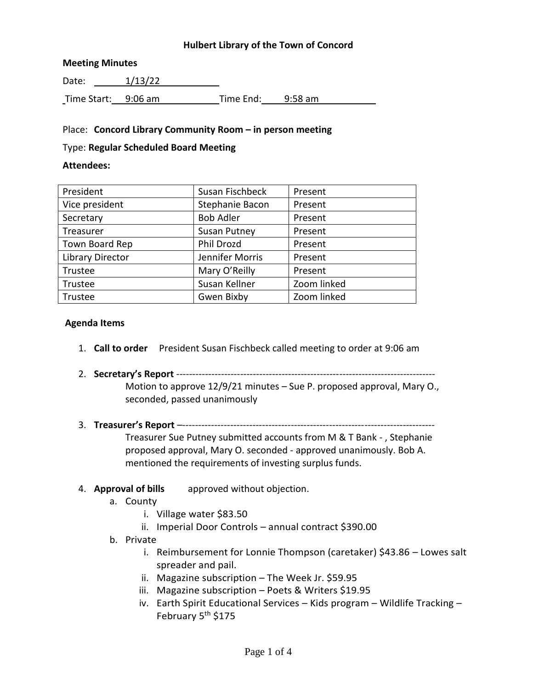## **Hulbert Library of the Town of Concord**

### **Meeting Minutes**

Date: 1/13/22 Time Start: 9:06 am Time End: 9:58 am

### Place: **Concord Library Community Room – in person meeting**

#### Type: **Regular Scheduled Board Meeting**

#### **Attendees:**

| President               | Susan Fischbeck     | Present     |
|-------------------------|---------------------|-------------|
| Vice president          | Stephanie Bacon     | Present     |
| Secretary               | <b>Bob Adler</b>    | Present     |
| Treasurer               | <b>Susan Putney</b> | Present     |
| Town Board Rep          | Phil Drozd          | Present     |
| <b>Library Director</b> | Jennifer Morris     | Present     |
| Trustee                 | Mary O'Reilly       | Present     |
| Trustee                 | Susan Kellner       | Zoom linked |
| Trustee                 | Gwen Bixby          | Zoom linked |

### **Agenda Items**

- 1. **Call to order** President Susan Fischbeck called meeting to order at 9:06 am
- 2. **Secretary's Report** --------------------------------------------------------------------------------- Motion to approve 12/9/21 minutes – Sue P. proposed approval, Mary O., seconded, passed unanimously
- 3. **Treasurer's Report** –-------------------------------------------------------------------------------

Treasurer Sue Putney submitted accounts from M & T Bank - , Stephanie proposed approval, Mary O. seconded - approved unanimously. Bob A. mentioned the requirements of investing surplus funds.

### 4. **Approval of bills** approved without objection.

- a. County
	- i. Village water \$83.50
	- ii. Imperial Door Controls annual contract \$390.00

#### b. Private

- i. Reimbursement for Lonnie Thompson (caretaker) \$43.86 Lowes salt spreader and pail.
- ii. Magazine subscription The Week Jr. \$59.95
- iii. Magazine subscription Poets & Writers \$19.95
- iv. Earth Spirit Educational Services Kids program Wildlife Tracking February 5<sup>th</sup> \$175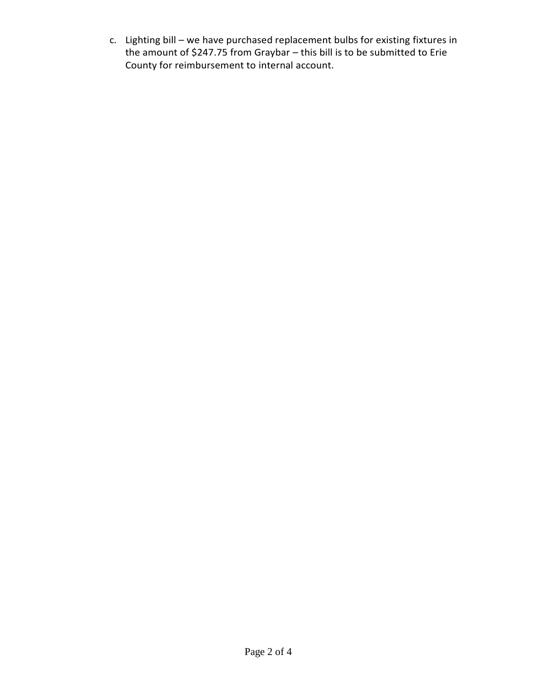c. Lighting bill – we have purchased replacement bulbs for existing fixtures in the amount of \$247.75 from Graybar – this bill is to be submitted to Erie County for reimbursement to internal account.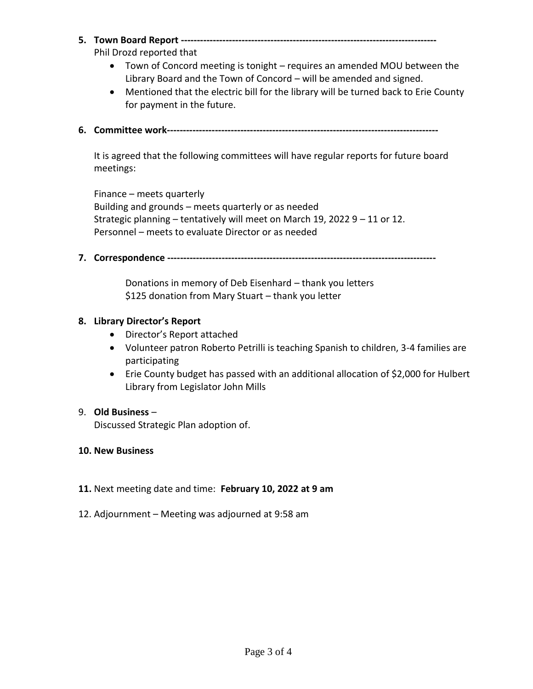**5. Town Board Report --------------------------------------------------------------------------------**

Phil Drozd reported that

- Town of Concord meeting is tonight requires an amended MOU between the Library Board and the Town of Concord – will be amended and signed.
- Mentioned that the electric bill for the library will be turned back to Erie County for payment in the future.
- **6. Committee work-------------------------------------------------------------------------------------**

It is agreed that the following committees will have regular reports for future board meetings:

Finance – meets quarterly Building and grounds – meets quarterly or as needed Strategic planning – tentatively will meet on March 19, 2022 9 – 11 or 12. Personnel – meets to evaluate Director or as needed

**7. Correspondence ------------------------------------------------------------------------------------**

Donations in memory of Deb Eisenhard – thank you letters \$125 donation from Mary Stuart – thank you letter

### **8. Library Director's Report**

- Director's Report attached
- Volunteer patron Roberto Petrilli is teaching Spanish to children, 3-4 families are participating
- Erie County budget has passed with an additional allocation of \$2,000 for Hulbert Library from Legislator John Mills

## 9. **Old Business** –

Discussed Strategic Plan adoption of.

### **10. New Business**

- **11.** Next meeting date and time: **February 10, 2022 at 9 am**
- 12. Adjournment Meeting was adjourned at 9:58 am